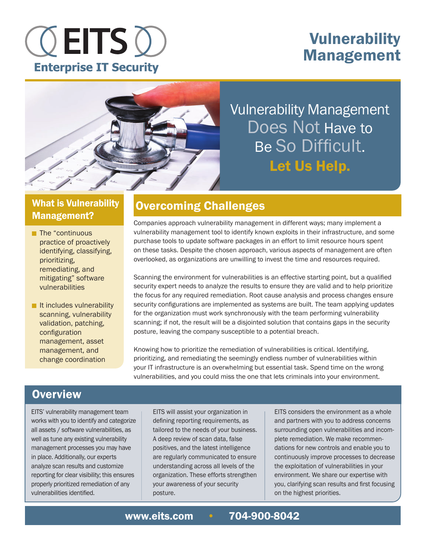# **OEITS O Enterprise IT Security**

# Vulnerability Management



Vulnerability Management Does Not Have to Be So Difficult. Let Us Help.

## What is Vulnerability Management?

- $\blacksquare$  The "continuous practice of proactively identifying, classifying, prioritizing, remediating, and mitigating" software vulnerabilities
- $\blacksquare$  It includes vulnerability scanning, vulnerability validation, patching, configuration management, asset management, and change coordination

# Overcoming Challenges

Companies approach vulnerability management in different ways; many implement a vulnerability management tool to identify known exploits in their infrastructure, and some purchase tools to update software packages in an effort to limit resource hours spent on these tasks. Despite the chosen approach, various aspects of management are often overlooked, as organizations are unwilling to invest the time and resources required.

Scanning the environment for vulnerabilities is an effective starting point, but a qualified security expert needs to analyze the results to ensure they are valid and to help prioritize the focus for any required remediation. Root cause analysis and process changes ensure security configurations are implemented as systems are built. The team applying updates for the organization must work synchronously with the team performing vulnerability scanning; if not, the result will be a disjointed solution that contains gaps in the security posture, leaving the company susceptible to a potential breach.

Knowing how to prioritize the remediation of vulnerabilities is critical. Identifying, prioritizing, and remediating the seemingly endless number of vulnerabilities within your IT infrastructure is an overwhelming but essential task. Spend time on the wrong vulnerabilities, and you could miss the one that lets criminals into your environment.

# **Overview**

EITS' vulnerability management team works with you to identify and categorize all assets / software vulnerabilities, as well as tune any existing vulnerability management processes you may have in place. Additionally, our experts analyze scan results and customize reporting for clear visibility; this ensures properly prioritized remediation of any vulnerabilities identified.

EITS will assist your organization in defining reporting requirements, as tailored to the needs of your business. A deep review of scan data, false positives, and the latest intelligence are regularly communicated to ensure understanding across all levels of the organization. These efforts strengthen your awareness of your security posture.

EITS considers the environment as a whole and partners with you to address concerns surrounding open vulnerabilities and incomplete remediation. We make recommendations for new controls and enable you to continuously improve processes to decrease the exploitation of vulnerabilities in your environment. We share our expertise with you, clarifying scan results and first focusing on the highest priorities.